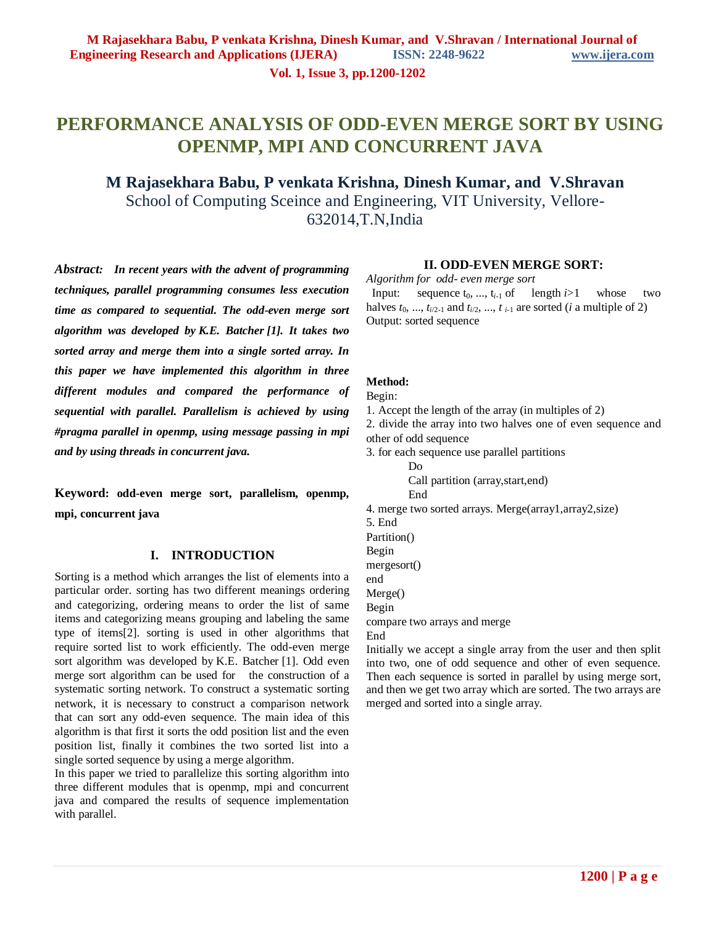**Vol. 1, Issue 3, pp.1200-1202**

# **PERFORMANCE ANALYSIS OF ODD-EVEN MERGE SORT BY USING OPENMP, MPI AND CONCURRENT JAVA**

## **M Rajasekhara Babu, P venkata Krishna, Dinesh Kumar, and V.Shravan** School of Computing Sceince and Engineering, VIT University, Vellore-632014,T.N,India

*Abstract: In recent years with the advent of programming techniques, parallel programming consumes less execution time as compared to sequential. The odd-even merge sort algorithm was developed by K.E. Batcher [1]. It takes two sorted array and merge them into a single sorted array. In this paper we have implemented this algorithm in three different modules and compared the performance of sequential with parallel. Parallelism is achieved by using #pragma parallel in openmp, using message passing in mpi and by using threads in concurrent java.*

**Keyword: odd-even merge sort, parallelism, openmp, mpi, concurrent java**

## **I. INTRODUCTION**

Sorting is a method which arranges the list of elements into a particular order. sorting has two different meanings ordering and categorizing, ordering means to order the list of same items and categorizing means grouping and labeling the same type of items[2]. sorting is used in other algorithms that require sorted list to work efficiently. The odd-even merge sort algorithm was developed by K.E. Batcher [1]. Odd even merge sort algorithm can be used for the construction of a systematic sorting network. To construct a systematic sorting network, it is necessary to construct a comparison network that can sort any odd-even sequence. The main idea of this algorithm is that first it sorts the odd position list and the even position list, finally it combines the two sorted list into a single sorted sequence by using a merge algorithm.

In this paper we tried to parallelize this sorting algorithm into three different modules that is openmp, mpi and concurrent java and compared the results of sequence implementation with parallel.

#### **II. ODD-EVEN MERGE SORT:**

*Algorithm for odd- even merge sort* 

Input: sequence  $t_0$ , ...,  $t_{i-1}$  of length *i*>1 whose two halves  $t_0$ , ...,  $t_{i/2-1}$  and  $t_{i/2}$ , ...,  $t_{i-1}$  are sorted (*i* a multiple of 2) Output: sorted sequence

#### **Method:**

#### Begin:

- 1. Accept the length of the array (in multiples of 2)
- 2. divide the array into two halves one of even sequence and other of odd sequence
- 3. for each sequence use parallel partitions
	- Do Call partition (array,start,end)
	- End
- 4. merge two sorted arrays. Merge(array1,array2,size)
- 5. End Partition() Begin mergesort() end Merge() Begin compare two arrays and merge

End

Initially we accept a single array from the user and then split into two, one of odd sequence and other of even sequence. Then each sequence is sorted in parallel by using merge sort, and then we get two array which are sorted. The two arrays are merged and sorted into a single array.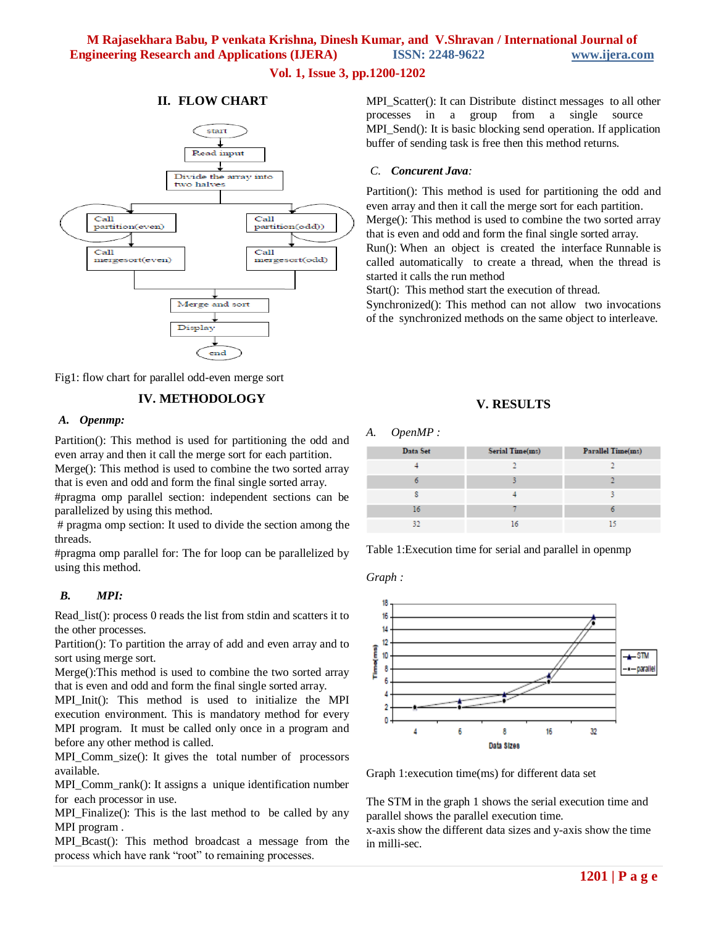## **M Rajasekhara Babu, P venkata Krishna, Dinesh Kumar, and V.Shravan / International Journal of Engineering Research and Applications (IJERA) ISSN: 2248-9622 www.ijera.com**

## **Vol. 1, Issue 3, pp.1200-1202**

#### **II. FLOW CHART**



Fig1: flow chart for parallel odd-even merge sort

## **IV. METHODOLOGY**

#### *A. Openmp:*

Partition(): This method is used for partitioning the odd and even array and then it call the merge sort for each partition.

Merge(): This method is used to combine the two sorted array that is even and odd and form the final single sorted array.

#pragma omp parallel section: independent sections can be parallelized by using this method.

# pragma omp section: It used to divide the section among the threads.

#pragma omp parallel for: The for loop can be parallelized by using this method.

#### *B. MPI:*

Read\_list(): process 0 reads the list from stdin and scatters it to the other processes.

Partition(): To partition the array of add and even array and to sort using merge sort.

Merge():This method is used to combine the two sorted array that is even and odd and form the final single sorted array.

MPI\_Init(): This method is used to initialize the MPI execution environment. This is mandatory method for every MPI program. It must be called only once in a program and before any other method is called.

MPI\_Comm\_size(): It gives the total number of processors available.

MPI\_Comm\_rank(): It assigns a unique identification number for each processor in use.

MPI\_Finalize(): This is the last method to be called by any MPI program .

MPI\_Bcast(): This method broadcast a message from the process which have rank "root" to remaining processes.

MPI\_Scatter(): It can Distribute distinct messages to all other processes in a group from a single source MPI\_Send(): It is basic blocking send operation. If application buffer of sending task is free then this method returns.

#### *C. Concurent Java:*

Partition(): This method is used for partitioning the odd and even array and then it call the merge sort for each partition. Merge(): This method is used to combine the two sorted array

that is even and odd and form the final single sorted array. Run(): When an object is created the interface Runnable is

called automatically to create a thread, when the thread is started it calls the run method

Start(): This method start the execution of thread.

Synchronized(): This method can not allow two invocations of the synchronized methods on the same object to interleave.

## **V. RESULTS**

#### *A. OpenMP :*

| Data Set | Serial Time(ms) | Parallel Time(ms) |
|----------|-----------------|-------------------|
|          |                 |                   |
|          |                 |                   |
|          |                 |                   |
| 16       |                 |                   |
| 30       | ۱۸              | 15                |

Table 1:Execution time for serial and parallel in openmp

*Graph :*



Graph 1:execution time(ms) for different data set

The STM in the graph 1 shows the serial execution time and parallel shows the parallel execution time.

x-axis show the different data sizes and y-axis show the time in milli-sec.